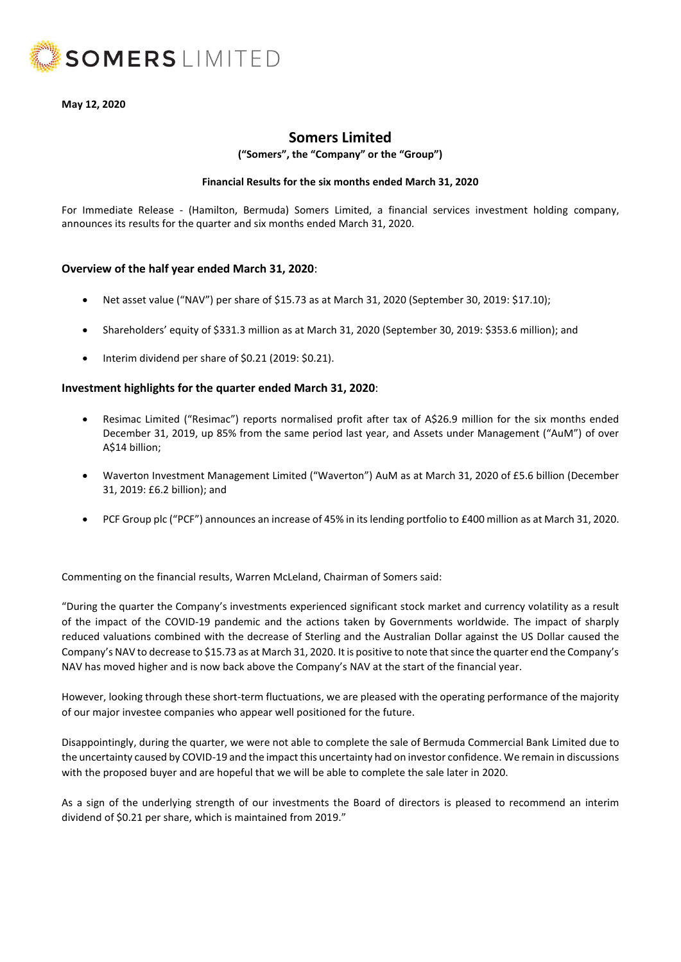

**May 12, 2020**

# **Somers Limited**

**("Somers", the "Company" or the "Group")**

### **Financial Results for the six months ended March 31, 2020**

For Immediate Release - (Hamilton, Bermuda) Somers Limited, a financial services investment holding company, announces its results for the quarter and six months ended March 31, 2020.

### **Overview of the half year ended March 31, 2020**:

- Net asset value ("NAV") per share of \$15.73 as at March 31, 2020 (September 30, 2019: \$17.10);
- Shareholders' equity of \$331.3 million as at March 31, 2020 (September 30, 2019: \$353.6 million); and
- Interim dividend per share of \$0.21 (2019: \$0.21).

### **Investment highlights for the quarter ended March 31, 2020**:

- Resimac Limited ("Resimac") reports normalised profit after tax of A\$26.9 million for the six months ended December 31, 2019, up 85% from the same period last year, and Assets under Management ("AuM") of over A\$14 billion;
- Waverton Investment Management Limited ("Waverton") AuM as at March 31, 2020 of £5.6 billion (December 31, 2019: £6.2 billion); and
- PCF Group plc ("PCF") announces an increase of 45% in its lending portfolio to £400 million as at March 31, 2020.

Commenting on the financial results, Warren McLeland, Chairman of Somers said:

"During the quarter the Company's investments experienced significant stock market and currency volatility as a result of the impact of the COVID-19 pandemic and the actions taken by Governments worldwide. The impact of sharply reduced valuations combined with the decrease of Sterling and the Australian Dollar against the US Dollar caused the Company's NAV to decrease to \$15.73 as at March 31, 2020. It is positive to note that since the quarter end the Company's NAV has moved higher and is now back above the Company's NAV at the start of the financial year.

However, looking through these short-term fluctuations, we are pleased with the operating performance of the majority of our major investee companies who appear well positioned for the future.

Disappointingly, during the quarter, we were not able to complete the sale of Bermuda Commercial Bank Limited due to the uncertainty caused by COVID-19 and the impact this uncertainty had on investor confidence. We remain in discussions with the proposed buyer and are hopeful that we will be able to complete the sale later in 2020.

As a sign of the underlying strength of our investments the Board of directors is pleased to recommend an interim dividend of \$0.21 per share, which is maintained from 2019."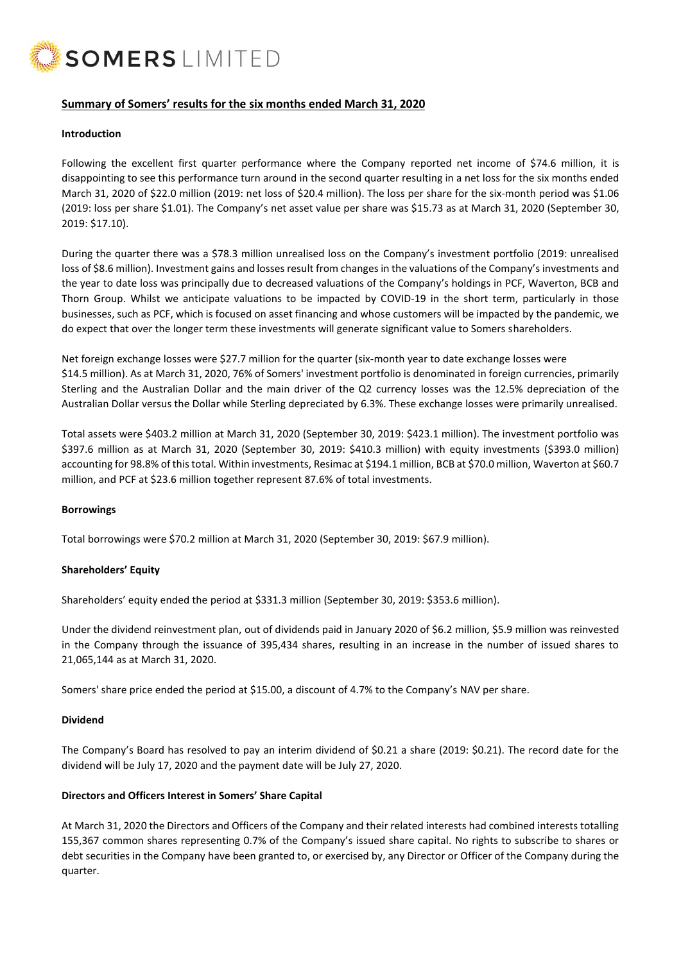

## **Summary of Somers' results for the six months ended March 31, 2020**

#### **Introduction**

Following the excellent first quarter performance where the Company reported net income of \$74.6 million, it is disappointing to see this performance turn around in the second quarter resulting in a net loss for the six months ended March 31, 2020 of \$22.0 million (2019: net loss of \$20.4 million). The loss per share for the six-month period was \$1.06 (2019: loss per share \$1.01). The Company's net asset value per share was \$15.73 as at March 31, 2020 (September 30, 2019: \$17.10).

During the quarter there was a \$78.3 million unrealised loss on the Company's investment portfolio (2019: unrealised loss of \$8.6 million). Investment gains and losses result from changes in the valuations of the Company's investments and the year to date loss was principally due to decreased valuations of the Company's holdings in PCF, Waverton, BCB and Thorn Group. Whilst we anticipate valuations to be impacted by COVID-19 in the short term, particularly in those businesses, such as PCF, which is focused on asset financing and whose customers will be impacted by the pandemic, we do expect that over the longer term these investments will generate significant value to Somers shareholders.

Net foreign exchange losses were \$27.7 million for the quarter (six-month year to date exchange losses were \$14.5 million). As at March 31, 2020, 76% of Somers' investment portfolio is denominated in foreign currencies, primarily Sterling and the Australian Dollar and the main driver of the Q2 currency losses was the 12.5% depreciation of the Australian Dollar versus the Dollar while Sterling depreciated by 6.3%. These exchange losses were primarily unrealised.

Total assets were \$403.2 million at March 31, 2020 (September 30, 2019: \$423.1 million). The investment portfolio was \$397.6 million as at March 31, 2020 (September 30, 2019: \$410.3 million) with equity investments (\$393.0 million) accounting for 98.8% of this total. Within investments, Resimac at \$194.1 million, BCB at \$70.0 million, Waverton at \$60.7 million, and PCF at \$23.6 million together represent 87.6% of total investments.

#### **Borrowings**

Total borrowings were \$70.2 million at March 31, 2020 (September 30, 2019: \$67.9 million).

#### **Shareholders' Equity**

Shareholders' equity ended the period at \$331.3 million (September 30, 2019: \$353.6 million).

Under the dividend reinvestment plan, out of dividends paid in January 2020 of \$6.2 million, \$5.9 million was reinvested in the Company through the issuance of 395,434 shares, resulting in an increase in the number of issued shares to 21,065,144 as at March 31, 2020.

Somers' share price ended the period at \$15.00, a discount of 4.7% to the Company's NAV per share.

#### **Dividend**

The Company's Board has resolved to pay an interim dividend of \$0.21 a share (2019: \$0.21). The record date for the dividend will be July 17, 2020 and the payment date will be July 27, 2020.

#### **Directors and Officers Interest in Somers' Share Capital**

At March 31, 2020 the Directors and Officers of the Company and their related interests had combined interests totalling 155,367 common shares representing 0.7% of the Company's issued share capital. No rights to subscribe to shares or debt securities in the Company have been granted to, or exercised by, any Director or Officer of the Company during the quarter.